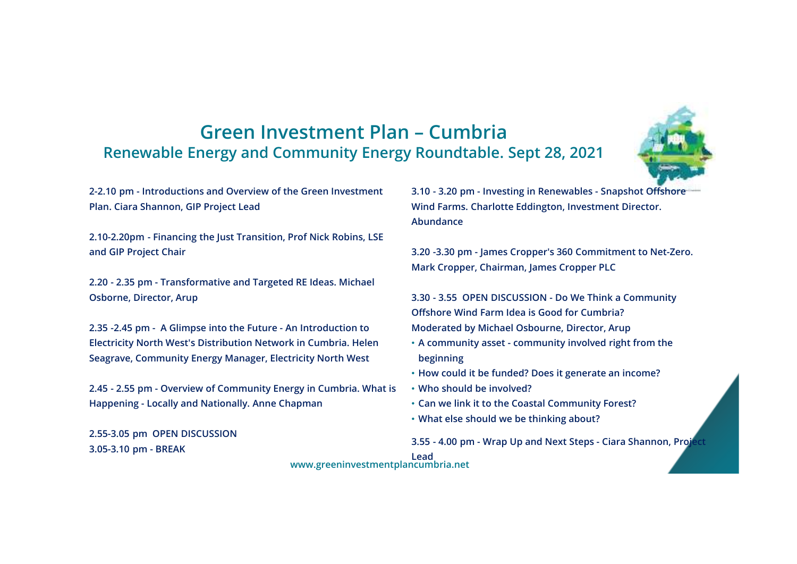## **Green Investment Plan – Cumbria Renewable Energy and Community Energy Roundtable. Sept 28, 2021**

**2-2.10 pm - Introductions and Overview of the Green Investment Plan. Ciara Shannon, GIP Project Lead**

**2.10-2.20pm - Financing the Just Transition, Prof Nick Robins, LSE and GIP Project Chair**

**2.20 - 2.35 pm - Transformative and Targeted RE Ideas. Michael Osborne, Director, Arup**

**2.35 -2.45 pm - A Glimpse into the Future - An Introduction to Electricity North West's Distribution Network in Cumbria. Helen Seagrave, Community Energy Manager, Electricity North West**

**2.45 - 2.55 pm - Overview of Community Energy in Cumbria. What is Happening - Locally and Nationally. Anne Chapman**

**2.55-3.05 pm OPEN DISCUSSION3.05-3.10 pm - BREAK**

**3.10 - 3.20 pm - Investing in Renewables - Snapshot Offshore Wind Farms. Charlotte Eddington, Investment Director. Abundance**

**3.20 -3.30 pm - James Cropper's 360 Commitment to Net-Zero. Mark Cropper, Chairman, James Cropper PLC**

**3.30 - 3.55 OPEN DISCUSSION - Do We Think a Community Offshore Wind Farm Idea is Good for Cumbria?Moderated by Michael Osbourne, Director, Arup** 

- **A community asset - community involved right from the beginning**
- **How could it be funded? Does it generate an income?**
- **Who should be involved?**
- **Can we link it to the Coastal Community Forest?**
- **What else should we be thinking about?**

**3.55 - 4.00 pm - Wrap Up and Next Steps - Ciara Shannon, Project** 

**Leadwww.greeninvestmentplancumbria.net**